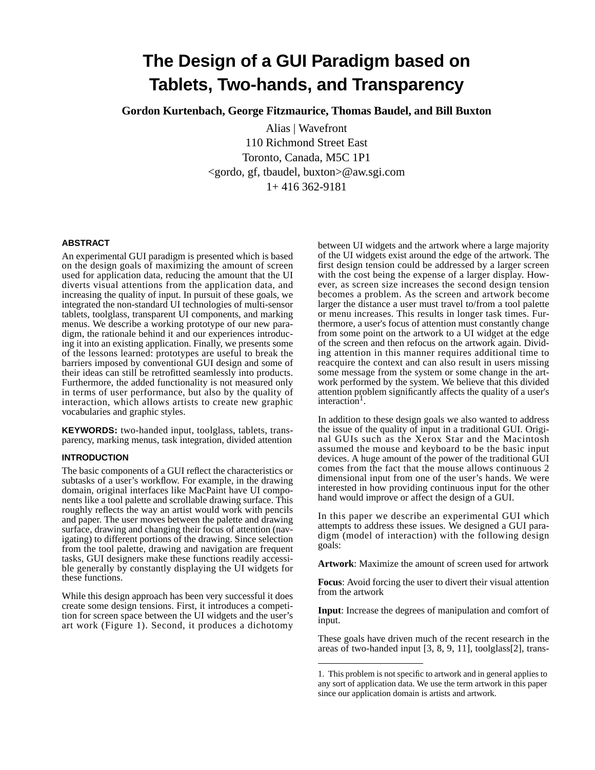# **The Design of a GUI Paradigm based on Tablets, Two-hands, and Transparency**

**Gordon Kurtenbach, George Fitzmaurice, Thomas Baudel, and Bill Buxton**

Alias | Wavefront 110 Richmond Street East Toronto, Canada, M5C 1P1 <gordo, gf, tbaudel, buxton>@aw.sgi.com 1+ 416 362-9181

## **ABSTRACT**

An experimental GUI paradigm is presented which is based on the design goals of maximizing the amount of screen used for application data, reducing the amount that the UI diverts visual attentions from the application data, and increasing the quality of input. In pursuit of these goals, we integrated the non-standard UI technologies of multi-sensor tablets, toolglass, transparent UI components, and marking menus. We describe a working prototype of our new paradigm, the rationale behind it and our experiences introducing it into an existing application. Finally, we presents some of the lessons learned: prototypes are useful to break the barriers imposed by conventional GUI design and some of their ideas can still be retrofitted seamlessly into products. Furthermore, the added functionality is not measured only in terms of user performance, but also by the quality of interaction, which allows artists to create new graphic vocabularies and graphic styles.

**KEYWORDS:** two-handed input, toolglass, tablets, transparency, marking menus, task integration, divided attention

# **INTRODUCTION**

The basic components of a GUI reflect the characteristics or subtasks of a user's workflow. For example, in the drawing domain, original interfaces like MacPaint have UI components like a tool palette and scrollable drawing surface. This roughly reflects the way an artist would work with pencils and paper. The user moves between the palette and drawing surface, drawing and changing their focus of attention (navigating) to different portions of the drawing. Since selection from the tool palette, drawing and navigation are frequent tasks, GUI designers make these functions readily accessible generally by constantly displaying the UI widgets for these functions.

While this design approach has been very successful it does create some design tensions. First, it introduces a competition for screen space between the UI widgets and the user's art work (Figure 1). Second, it produces a dichotomy

between UI widgets and the artwork where a large majority of the UI widgets exist around the edge of the artwork. The first design tension could be addressed by a larger screen with the cost being the expense of a larger display. However, as screen size increases the second design tension becomes a problem. As the screen and artwork become larger the distance a user must travel to/from a tool palette or menu increases. This results in longer task times. Furthermore, a user's focus of attention must constantly change from some point on the artwork to a UI widget at the edge of the screen and then refocus on the artwork again. Dividing attention in this manner requires additional time to reacquire the context and can also result in users missing some message from the system or some change in the artwork performed by the system. We believe that this divided attention problem significantly affects the quality of a user's interaction<sup>1</sup>.

In addition to these design goals we also wanted to address the issue of the quality of input in a traditional GUI. Original GUIs such as the Xerox Star and the Macintosh assumed the mouse and keyboard to be the basic input devices. A huge amount of the power of the traditional GUI comes from the fact that the mouse allows continuous 2 dimensional input from one of the user's hands. We were interested in how providing continuous input for the other hand would improve or affect the design of a GUI.

In this paper we describe an experimental GUI which attempts to address these issues. We designed a GUI paradigm (model of interaction) with the following design goals:

**Artwork**: Maximize the amount of screen used for artwork

**Focus**: Avoid forcing the user to divert their visual attention from the artwork

**Input**: Increase the degrees of manipulation and comfort of input.

These goals have driven much of the recent research in the areas of two-handed input [3, 8, 9, 11], toolglass[2], trans-

<sup>1.</sup> This problem is not specific to artwork and in general applies to any sort of application data. We use the term artwork in this paper since our application domain is artists and artwork.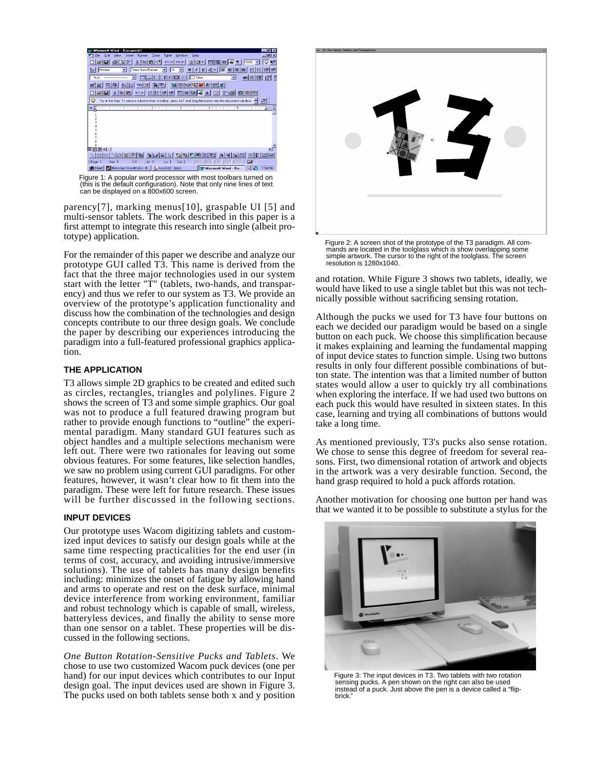

Figure 1: A popular word processor with most toolbars turned on (this is the default configuration). Note that only nine lines of text can be displayed on a 800x600 screen.

parency[7], marking menus[10], graspable UI [5] and multi-sensor tablets. The work described in this paper is a first attempt to integrate this research into single (albeit prototype) application.

For the remainder of this paper we describe and analyze our prototype GUI called T3. This name is derived from the fact that the three major technologies used in our system start with the letter "T" (tablets, two-hands, and transparency) and thus we refer to our system as T3. We provide an overview of the prototype's application functionality and discuss how the combination of the technologies and design concepts contribute to our three design goals. We conclude the paper by describing our experiences introducing the paradigm into a full-featured professional graphics application.

# **THE APPLICATION**

T3 allows simple 2D graphics to be created and edited such as circles, rectangles, triangles and polylines. Figure 2 shows the screen of T3 and some simple graphics. Our goal was not to produce a full featured drawing program but rather to provide enough functions to "outline" the experimental paradigm. Many standard GUI features such as object handles and a multiple selections mechanism were left out. There were two rationales for leaving out some obvious features. For some features, like selection handles, we saw no problem using current GUI paradigms. For other features, however, it wasn't clear how to fit them into the paradigm. These were left for future research. These issues will be further discussed in the following sections.

# **INPUT DEVICES**

Our prototype uses Wacom digitizing tablets and customized input devices to satisfy our design goals while at the same time respecting practicalities for the end user (in terms of cost, accuracy, and avoiding intrusive/immersive solutions). The use of tablets has many design benefits including: minimizes the onset of fatigue by allowing hand and arms to operate and rest on the desk surface, minimal device interference from working environment, familiar and robust technology which is capable of small, wireless, batteryless devices, and finally the ability to sense more than one sensor on a tablet. These properties will be discussed in the following sections.

*One Button Rotation-Sensitive Pucks and Tablets*. We chose to use two customized Wacom puck devices (one per hand) for our input devices which contributes to our Input design goal. The input devices used are shown in Figure 3. The pucks used on both tablets sense both x and y position



Figure 2: A screen shot of the prototype of the T3 paradigm. All com-mands are located in the toolglass which is show overlapping some simple artwork. The cursor to the right of the toolglass. The screen resolution is 1280x1040.

and rotation. While Figure 3 shows two tablets, ideally, we would have liked to use a single tablet but this was not technically possible without sacrificing sensing rotation.

Although the pucks we used for T3 have four buttons on each we decided our paradigm would be based on a single button on each puck. We choose this simplification because it makes explaining and learning the fundamental mapping of input device states to function simple. Using two buttons results in only four different possible combinations of button state. The intention was that a limited number of button states would allow a user to quickly try all combinations when exploring the interface. If we had used two buttons on each puck this would have resulted in sixteen states. In this case, learning and trying all combinations of buttons would take a long time.

As mentioned previously, T3's pucks also sense rotation. We chose to sense this degree of freedom for several reasons. First, two dimensional rotation of artwork and objects in the artwork was a very desirable function. Second, the hand grasp required to hold a puck affords rotation.

Another motivation for choosing one button per hand was that we wanted it to be possible to substitute a stylus for the



Figure 3: The input devices in T3. Two tablets with two rotation sensing pucks. A pen shown on the right can also be used instead of a puck. Just above the pen is a device called a "flipbrick."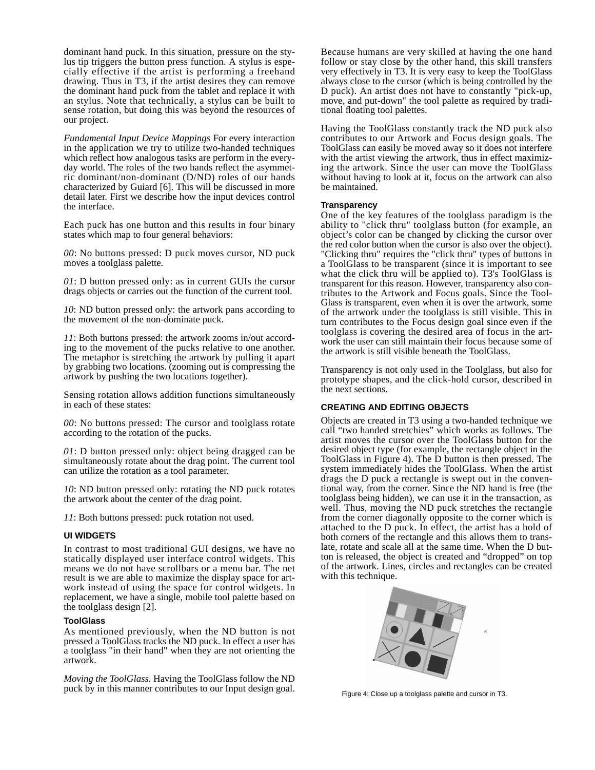dominant hand puck. In this situation, pressure on the stylus tip triggers the button press function. A stylus is especially effective if the artist is performing a freehand drawing. Thus in T3, if the artist desires they can remove the dominant hand puck from the tablet and replace it with an stylus. Note that technically, a stylus can be built to sense rotation, but doing this was beyond the resources of our project.

*Fundamental Input Device Mappings* For every interaction in the application we try to utilize two-handed techniques which reflect how analogous tasks are perform in the everyday world. The roles of the two hands reflect the asymmetric dominant/non-dominant (D/ND) roles of our hands characterized by Guiard [6]. This will be discussed in more detail later. First we describe how the input devices control the interface.

Each puck has one button and this results in four binary states which map to four general behaviors:

*00*: No buttons pressed: D puck moves cursor, ND puck moves a toolglass palette.

*01*: D button pressed only: as in current GUIs the cursor drags objects or carries out the function of the current tool.

*10*: ND button pressed only: the artwork pans according to the movement of the non-dominate puck.

*11*: Both buttons pressed: the artwork zooms in/out according to the movement of the pucks relative to one another. The metaphor is stretching the artwork by pulling it apart by grabbing two locations. (zooming out is compressing the artwork by pushing the two locations together).

Sensing rotation allows addition functions simultaneously in each of these states:

*00*: No buttons pressed: The cursor and toolglass rotate according to the rotation of the pucks.

*01*: D button pressed only: object being dragged can be simultaneously rotate about the drag point. The current tool can utilize the rotation as a tool parameter.

*10*: ND button pressed only: rotating the ND puck rotates the artwork about the center of the drag point.

*11*: Both buttons pressed: puck rotation not used.

## **UI WIDGETS**

In contrast to most traditional GUI designs, we have no statically displayed user interface control widgets. This means we do not have scrollbars or a menu bar. The net result is we are able to maximize the display space for artwork instead of using the space for control widgets. In replacement, we have a single, mobile tool palette based on the toolglass design [2].

#### **ToolGlass**

As mentioned previously, when the ND button is not pressed a ToolGlass tracks the ND puck. In effect a user has a toolglass "in their hand" when they are not orienting the artwork.

*Moving the ToolGlass.* Having the ToolGlass follow the ND puck by in this manner contributes to our Input design goal. Because humans are very skilled at having the one hand follow or stay close by the other hand, this skill transfers very effectively in T3. It is very easy to keep the ToolGlass always close to the cursor (which is being controlled by the D puck). An artist does not have to constantly "pick-up, move, and put-down" the tool palette as required by traditional floating tool palettes.

Having the ToolGlass constantly track the ND puck also contributes to our Artwork and Focus design goals. The ToolGlass can easily be moved away so it does not interfere with the artist viewing the artwork, thus in effect maximizing the artwork. Since the user can move the ToolGlass without having to look at it, focus on the artwork can also be maintained.

#### **Transparency**

One of the key features of the toolglass paradigm is the ability to "click thru" toolglass button (for example, an object's color can be changed by clicking the cursor over the red color button when the cursor is also over the object). "Clicking thru" requires the "click thru" types of buttons in a ToolGlass to be transparent (since it is important to see what the click thru will be applied to). T3's ToolGlass is transparent for this reason. However, transparency also contributes to the Artwork and Focus goals. Since the Tool-Glass is transparent, even when it is over the artwork, some of the artwork under the toolglass is still visible. This in turn contributes to the Focus design goal since even if the toolglass is covering the desired area of focus in the artwork the user can still maintain their focus because some of the artwork is still visible beneath the ToolGlass.

Transparency is not only used in the Toolglass, but also for prototype shapes, and the click-hold cursor, described in the next sections.

## **CREATING AND EDITING OBJECTS**

Objects are created in T3 using a two-handed technique we call "two handed stretchies" which works as follows. The artist moves the cursor over the ToolGlass button for the desired object type (for example, the rectangle object in the ToolGlass in Figure 4). The D button is then pressed. The system immediately hides the ToolGlass. When the artist drags the D puck a rectangle is swept out in the conventional way, from the corner. Since the ND hand is free (the toolglass being hidden), we can use it in the transaction, as well. Thus, moving the ND puck stretches the rectangle from the corner diagonally opposite to the corner which is attached to the D puck. In effect, the artist has a hold of both corners of the rectangle and this allows them to translate, rotate and scale all at the same time. When the D button is released, the object is created and "dropped" on top of the artwork. Lines, circles and rectangles can be created with this technique.



Figure 4: Close up a toolglass palette and cursor in T3.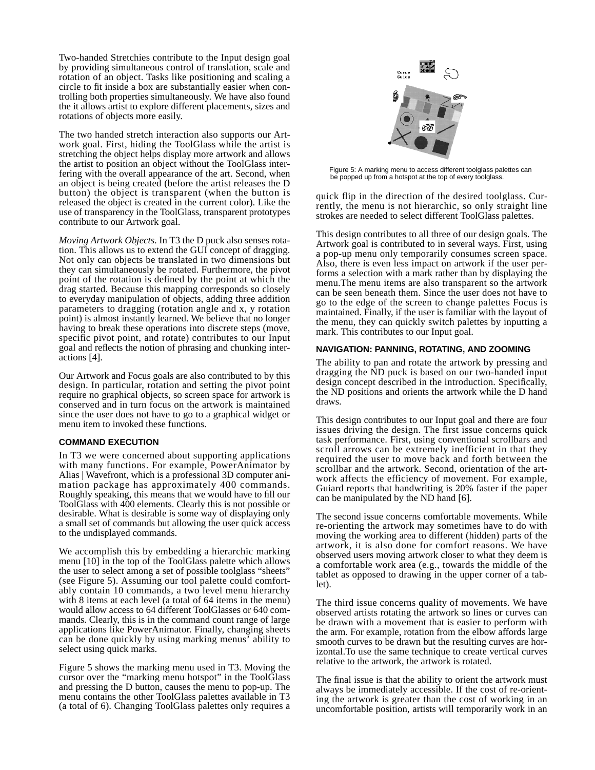Two-handed Stretchies contribute to the Input design goal by providing simultaneous control of translation, scale and rotation of an object. Tasks like positioning and scaling a circle to fit inside a box are substantially easier when controlling both properties simultaneously. We have also found the it allows artist to explore different placements, sizes and rotations of objects more easily.

The two handed stretch interaction also supports our Artwork goal. First, hiding the ToolGlass while the artist is stretching the object helps display more artwork and allows the artist to position an object without the ToolGlass interfering with the overall appearance of the art. Second, when an object is being created (before the artist releases the D button) the object is transparent (when the button is released the object is created in the current color). Like the use of transparency in the ToolGlass, transparent prototypes contribute to our Artwork goal.

*Moving Artwork Objects*. In T3 the D puck also senses rotation. This allows us to extend the GUI concept of dragging. Not only can objects be translated in two dimensions but they can simultaneously be rotated. Furthermore, the pivot point of the rotation is defined by the point at which the drag started. Because this mapping corresponds so closely to everyday manipulation of objects, adding three addition parameters to dragging (rotation angle and x, y rotation point) is almost instantly learned. We believe that no longer having to break these operations into discrete steps (move, specific pivot point, and rotate) contributes to our Input goal and reflects the notion of phrasing and chunking interactions [4].

Our Artwork and Focus goals are also contributed to by this design. In particular, rotation and setting the pivot point require no graphical objects, so screen space for artwork is conserved and in turn focus on the artwork is maintained since the user does not have to go to a graphical widget or menu item to invoked these functions.

## **COMMAND EXECUTION**

In T3 we were concerned about supporting applications with many functions. For example, PowerAnimator by Alias | Wavefront, which is a professional 3D computer animation package has approximately 400 commands. Roughly speaking, this means that we would have to fill our ToolGlass with 400 elements. Clearly this is not possible or desirable. What is desirable is some way of displaying only a small set of commands but allowing the user quick access to the undisplayed commands.

We accomplish this by embedding a hierarchic marking menu [10] in the top of the ToolGlass palette which allows the user to select among a set of possible toolglass "sheets" (see Figure 5). Assuming our tool palette could comfortably contain 10 commands, a two level menu hierarchy with 8 items at each level (a total of 64 items in the menu) would allow access to 64 different ToolGlasses or 640 commands. Clearly, this is in the command count range of large applications like PowerAnimator. Finally, changing sheets can be done quickly by using marking menus' ability to select using quick marks.

Figure 5 shows the marking menu used in T3. Moving the cursor over the "marking menu hotspot" in the ToolGlass and pressing the D button, causes the menu to pop-up. The menu contains the other ToolGlass palettes available in T3 (a total of 6). Changing ToolGlass palettes only requires a



Figure 5: A marking menu to access different toolglass palettes can be popped up from a hotspot at the top of every toolglass.

quick flip in the direction of the desired toolglass. Currently, the menu is not hierarchic, so only straight line strokes are needed to select different ToolGlass palettes.

This design contributes to all three of our design goals. The Artwork goal is contributed to in several ways. First, using a pop-up menu only temporarily consumes screen space. Also, there is even less impact on artwork if the user performs a selection with a mark rather than by displaying the menu.The menu items are also transparent so the artwork can be seen beneath them. Since the user does not have to go to the edge of the screen to change palettes Focus is maintained. Finally, if the user is familiar with the layout of the menu, they can quickly switch palettes by inputting a mark. This contributes to our Input goal.

# **NAVIGATION: PANNING, ROTATING, AND ZOOMING**

The ability to pan and rotate the artwork by pressing and dragging the ND puck is based on our two-handed input design concept described in the introduction. Specifically, the ND positions and orients the artwork while the D hand draws.

This design contributes to our Input goal and there are four issues driving the design. The first issue concerns quick task performance. First, using conventional scrollbars and scroll arrows can be extremely inefficient in that they required the user to move back and forth between the scrollbar and the artwork. Second, orientation of the artwork affects the efficiency of movement. For example, Guiard reports that handwriting is 20% faster if the paper can be manipulated by the ND hand [6].

The second issue concerns comfortable movements. While re-orienting the artwork may sometimes have to do with moving the working area to different (hidden) parts of the artwork, it is also done for comfort reasons. We have observed users moving artwork closer to what they deem is a comfortable work area (e.g., towards the middle of the tablet as opposed to drawing in the upper corner of a tablet).

The third issue concerns quality of movements. We have observed artists rotating the artwork so lines or curves can be drawn with a movement that is easier to perform with the arm. For example, rotation from the elbow affords large smooth curves to be drawn but the resulting curves are horizontal.To use the same technique to create vertical curves relative to the artwork, the artwork is rotated.

The final issue is that the ability to orient the artwork must always be immediately accessible. If the cost of re-orienting the artwork is greater than the cost of working in an uncomfortable position, artists will temporarily work in an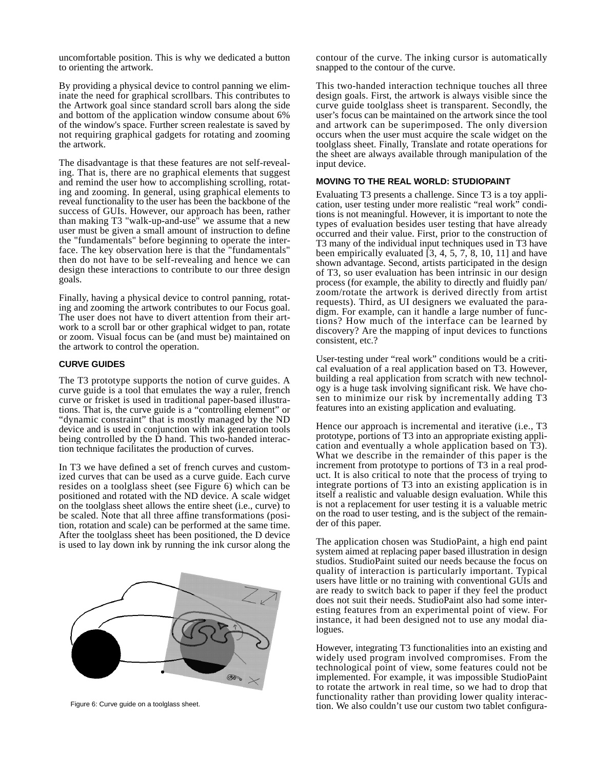uncomfortable position. This is why we dedicated a button to orienting the artwork.

By providing a physical device to control panning we eliminate the need for graphical scrollbars. This contributes to the Artwork goal since standard scroll bars along the side and bottom of the application window consume about 6% of the window's space. Further screen realestate is saved by not requiring graphical gadgets for rotating and zooming the artwork.

The disadvantage is that these features are not self-revealing. That is, there are no graphical elements that suggest and remind the user how to accomplishing scrolling, rotating and zooming. In general, using graphical elements to reveal functionality to the user has been the backbone of the success of GUIs. However, our approach has been, rather than making T3 "walk-up-and-use" we assume that a new user must be given a small amount of instruction to define the "fundamentals" before beginning to operate the interface. The key observation here is that the "fundamentals" then do not have to be self-revealing and hence we can design these interactions to contribute to our three design goals.

Finally, having a physical device to control panning, rotating and zooming the artwork contributes to our Focus goal. The user does not have to divert attention from their artwork to a scroll bar or other graphical widget to pan, rotate or zoom. Visual focus can be (and must be) maintained on the artwork to control the operation.

## **CURVE GUIDES**

The T3 prototype supports the notion of curve guides. A curve guide is a tool that emulates the way a ruler, french curve or frisket is used in traditional paper-based illustrations. That is, the curve guide is a "controlling element" or "dynamic constraint" that is mostly managed by the ND device and is used in conjunction with ink generation tools being controlled by the  $\tilde{D}$  hand. This two-handed interaction technique facilitates the production of curves.

In T3 we have defined a set of french curves and customized curves that can be used as a curve guide. Each curve resides on a toolglass sheet (see Figure 6) which can be positioned and rotated with the ND device. A scale widget on the toolglass sheet allows the entire sheet (i.e., curve) to be scaled. Note that all three affine transformations (position, rotation and scale) can be performed at the same time. After the toolglass sheet has been positioned, the D device is used to lay down ink by running the ink cursor along the



contour of the curve. The inking cursor is automatically snapped to the contour of the curve.

This two-handed interaction technique touches all three design goals. First, the artwork is always visible since the curve guide toolglass sheet is transparent. Secondly, the user's focus can be maintained on the artwork since the tool and artwork can be superimposed. The only diversion occurs when the user must acquire the scale widget on the toolglass sheet. Finally, Translate and rotate operations for the sheet are always available through manipulation of the input device.

# **MOVING TO THE REAL WORLD: STUDIOPAINT**

Evaluating T3 presents a challenge. Since T3 is a toy application, user testing under more realistic "real work" conditions is not meaningful. However, it is important to note the types of evaluation besides user testing that have already occurred and their value. First, prior to the construction of T3 many of the individual input techniques used in T3 have been empirically evaluated [3, 4, 5, 7, 8, 10, 11] and have shown advantage. Second, artists participated in the design of T3, so user evaluation has been intrinsic in our design process (for example, the ability to directly and fluidly pan/ zoom/rotate the artwork is derived directly from artist requests). Third, as UI designers we evaluated the paradigm. For example, can it handle a large number of functions? How much of the interface can be learned by discovery? Are the mapping of input devices to functions consistent, etc.?

User-testing under "real work" conditions would be a critical evaluation of a real application based on T3. However, building a real application from scratch with new technology is a huge task involving significant risk. We have chosen to minimize our risk by incrementally adding T3 features into an existing application and evaluating.

Hence our approach is incremental and iterative (i.e., T3 prototype, portions of T3 into an appropriate existing application and eventually a whole application based on T3). What we describe in the remainder of this paper is the increment from prototype to portions of T3 in a real product. It is also critical to note that the process of trying to integrate portions of T3 into an existing application is in itself a realistic and valuable design evaluation. While this is not a replacement for user testing it is a valuable metric on the road to user testing, and is the subject of the remainder of this paper.

The application chosen was StudioPaint, a high end paint system aimed at replacing paper based illustration in design studios. StudioPaint suited our needs because the focus on quality of interaction is particularly important. Typical users have little or no training with conventional GUIs and are ready to switch back to paper if they feel the product does not suit their needs. StudioPaint also had some interesting features from an experimental point of view. For instance, it had been designed not to use any modal dialogues.

However, integrating T3 functionalities into an existing and widely used program involved compromises. From the technological point of view, some features could not be implemented. For example, it was impossible StudioPaint to rotate the artwork in real time, so we had to drop that functionality rather than providing lower quality interac-Figure 6: Curve guide on a toolglass sheet.<br>
tion. We also couldn't use our custom two tablet configura-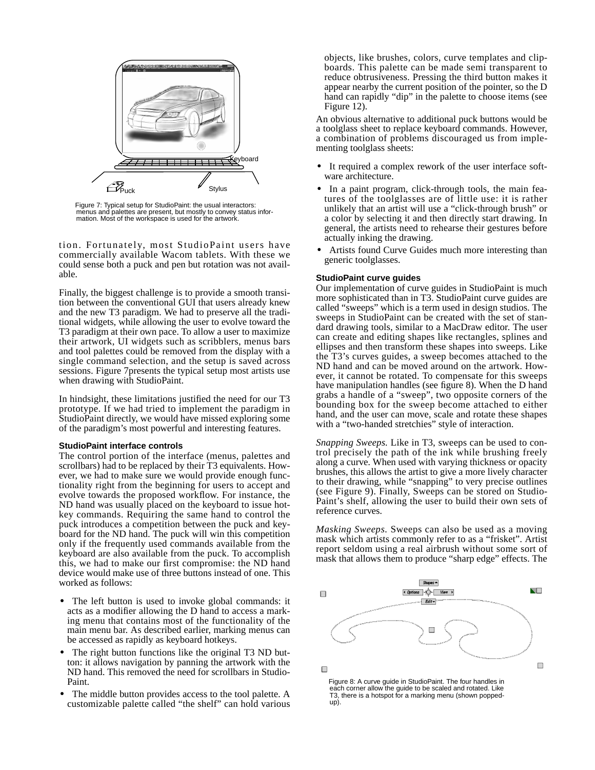

Figure 7: Typical setup for StudioPaint: the usual interactors: menus and palettes are present, but mostly to convey status infor-mation. Most of the workspace is used for the artwork.

tion. Fortunately, most StudioPaint users have commercially available Wacom tablets. With these we could sense both a puck and pen but rotation was not available.

Finally, the biggest challenge is to provide a smooth transition between the conventional GUI that users already knew and the new T3 paradigm. We had to preserve all the traditional widgets, while allowing the user to evolve toward the T3 paradigm at their own pace. To allow a user to maximize their artwork, UI widgets such as scribblers, menus bars and tool palettes could be removed from the display with a single command selection, and the setup is saved across sessions. Figure 7presents the typical setup most artists use when drawing with StudioPaint.

In hindsight, these limitations justified the need for our T3 prototype. If we had tried to implement the paradigm in StudioPaint directly, we would have missed exploring some of the paradigm's most powerful and interesting features.

#### **StudioPaint interface controls**

The control portion of the interface (menus, palettes and scrollbars) had to be replaced by their T3 equivalents. However, we had to make sure we would provide enough functionality right from the beginning for users to accept and evolve towards the proposed workflow. For instance, the ND hand was usually placed on the keyboard to issue hotkey commands. Requiring the same hand to control the puck introduces a competition between the puck and keyboard for the ND hand. The puck will win this competition only if the frequently used commands available from the keyboard are also available from the puck. To accomplish this, we had to make our first compromise: the ND hand device would make use of three buttons instead of one. This worked as follows:

- **•** The left button is used to invoke global commands: it acts as a modifier allowing the D hand to access a marking menu that contains most of the functionality of the main menu bar. As described earlier, marking menus can be accessed as rapidly as keyboard hotkeys.
- **•** The right button functions like the original T3 ND button: it allows navigation by panning the artwork with the ND hand. This removed the need for scrollbars in Studio-Paint.
- **•** The middle button provides access to the tool palette. A customizable palette called "the shelf" can hold various

objects, like brushes, colors, curve templates and clipboards. This palette can be made semi transparent to reduce obtrusiveness. Pressing the third button makes it appear nearby the current position of the pointer, so the D hand can rapidly "dip" in the palette to choose items (see Figure 12).

An obvious alternative to additional puck buttons would be a toolglass sheet to replace keyboard commands. However, a combination of problems discouraged us from implementing toolglass sheets:

- It required a complex rework of the user interface software architecture.
- **•** In a paint program, click-through tools, the main features of the toolglasses are of little use: it is rather unlikely that an artist will use a "click-through brush" or a color by selecting it and then directly start drawing. In general, the artists need to rehearse their gestures before actually inking the drawing.
- **•** Artists found Curve Guides much more interesting than generic toolglasses.

#### **StudioPaint curve guides**

Our implementation of curve guides in StudioPaint is much more sophisticated than in T3. StudioPaint curve guides are called "sweeps" which is a term used in design studios. The sweeps in StudioPaint can be created with the set of standard drawing tools, similar to a MacDraw editor. The user can create and editing shapes like rectangles, splines and ellipses and then transform these shapes into sweeps. Like the T3's curves guides, a sweep becomes attached to the ND hand and can be moved around on the artwork. However, it cannot be rotated. To compensate for this sweeps have manipulation handles (see figure 8). When the D hand grabs a handle of a "sweep", two opposite corners of the bounding box for the sweep become attached to either hand, and the user can move, scale and rotate these shapes with a "two-handed stretchies" style of interaction.

*Snapping Sweeps.* Like in T3, sweeps can be used to control precisely the path of the ink while brushing freely along a curve. When used with varying thickness or opacity brushes, this allows the artist to give a more lively character to their drawing, while "snapping" to very precise outlines (see Figure 9). Finally, Sweeps can be stored on Studio-Paint's shelf, allowing the user to build their own sets of reference curves.

*Masking Sweeps.* Sweeps can also be used as a moving mask which artists commonly refer to as a "frisket". Artist report seldom using a real airbrush without some sort of mask that allows them to produce "sharp edge" effects. The



Figure 8: A curve guide in StudioPaint. The four handles in each corner allow the guide to be scaled and rotated. Like T3, there is a hotspot for a marking menu (shown poppedup).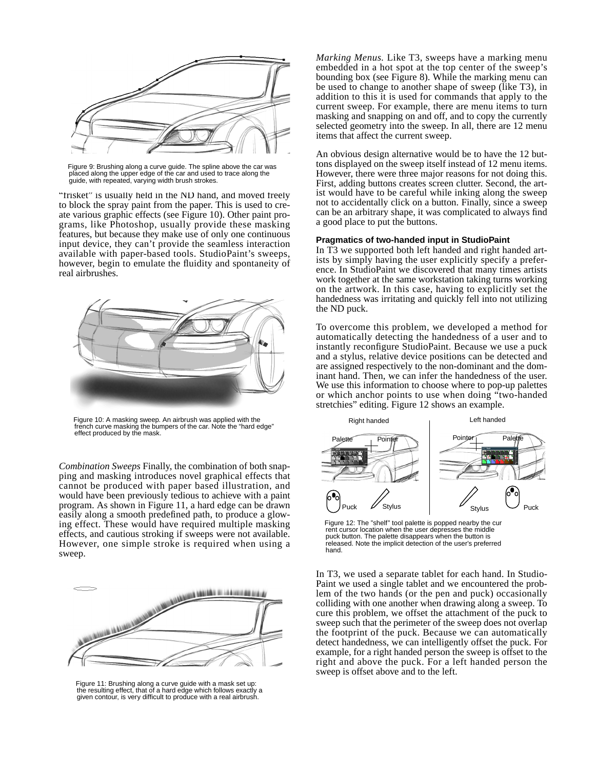

Figure 9: Brushing along a curve guide. The spline above the car was placed along the upper edge of the car and used to trace along the guide, with repeated, varying width brush strokes.

"frisket" is usually held in the ND hand, and moved freely to block the spray paint from the paper. This is used to create various graphic effects (see Figure 10). Other paint programs, like Photoshop, usually provide these masking features, but because they make use of only one continuous input device, they can't provide the seamless interaction available with paper-based tools. StudioPaint's sweeps, however, begin to emulate the fluidity and spontaneity of real airbrushes.



Figure 10: A masking sweep. An airbrush was applied with the french curve masking the bumpers of the car. Note the "hard edge" effect produced by the mask.

*Combination Sweeps* Finally, the combination of both snapping and masking introduces novel graphical effects that cannot be produced with paper based illustration, and would have been previously tedious to achieve with a paint program. As shown in Figure 11, a hard edge can be drawn easily along a smooth predefined path, to produce a glowing effect. These would have required multiple masking effects, and cautious stroking if sweeps were not available. However, one simple stroke is required when using a sweep.



Figure 11: Brushing along a curve guide with a mask set up: the resulting effect, that of a hard edge which follows exactly a given contour, is very difficult to produce with a real airbrush.

*Marking Menus.* Like T3, sweeps have a marking menu embedded in a hot spot at the top center of the sweep's bounding box (see Figure 8). While the marking menu can be used to change to another shape of sweep (like T3), in addition to this it is used for commands that apply to the current sweep. For example, there are menu items to turn masking and snapping on and off, and to copy the currently selected geometry into the sweep. In all, there are 12 menu items that affect the current sweep.

An obvious design alternative would be to have the 12 buttons displayed on the sweep itself instead of 12 menu items. However, there were three major reasons for not doing this. First, adding buttons creates screen clutter. Second, the artist would have to be careful while inking along the sweep not to accidentally click on a button. Finally, since a sweep can be an arbitrary shape, it was complicated to always find a good place to put the buttons.

#### **Pragmatics of two-handed input in StudioPaint**

In T3 we supported both left handed and right handed artists by simply having the user explicitly specify a preference. In StudioPaint we discovered that many times artists work together at the same workstation taking turns working on the artwork. In this case, having to explicitly set the handedness was irritating and quickly fell into not utilizing the ND puck.

To overcome this problem, we developed a method for automatically detecting the handedness of a user and to instantly reconfigure StudioPaint. Because we use a puck and a stylus, relative device positions can be detected and are assigned respectively to the non-dominant and the dominant hand. Then, we can infer the handedness of the user. We use this information to choose where to pop-up palettes or which anchor points to use when doing "two-handed stretchies" editing. Figure 12 shows an example.



Figure 12: The "shelf" tool palette is popped nearby the cur rent cursor location when the user depresses the middle puck button. The palette disappears when the button is released. Note the implicit detection of the user's preferred hand.

In T3, we used a separate tablet for each hand. In Studio-Paint we used a single tablet and we encountered the problem of the two hands (or the pen and puck) occasionally colliding with one another when drawing along a sweep. To cure this problem, we offset the attachment of the puck to sweep such that the perimeter of the sweep does not overlap the footprint of the puck. Because we can automatically detect handedness, we can intelligently offset the puck. For example, for a right handed person the sweep is offset to the right and above the puck. For a left handed person the sweep is offset above and to the left.